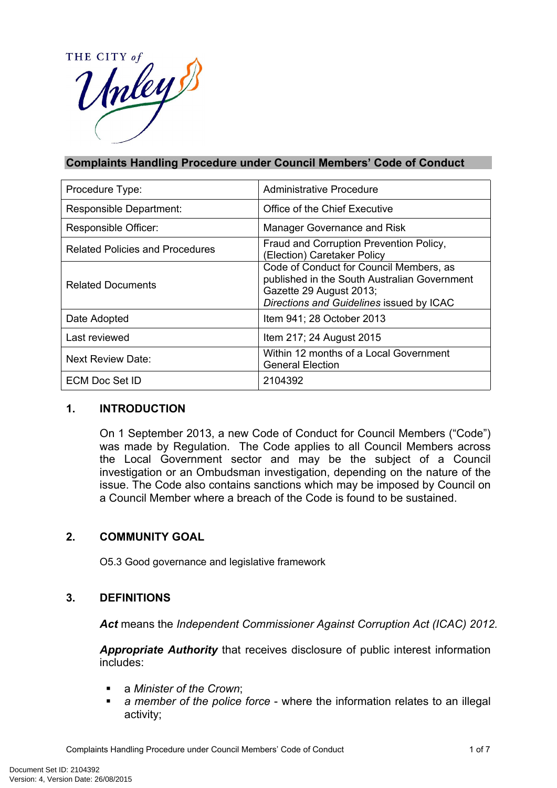HE CITY of THE CITY a

## **Complaints Handling Procedure under Council Members' Code of Conduct**

| Procedure Type:                        | Administrative Procedure                                                                                                                                       |
|----------------------------------------|----------------------------------------------------------------------------------------------------------------------------------------------------------------|
| Responsible Department:                | Office of the Chief Executive                                                                                                                                  |
| Responsible Officer:                   | Manager Governance and Risk                                                                                                                                    |
| <b>Related Policies and Procedures</b> | Fraud and Corruption Prevention Policy,<br>(Election) Caretaker Policy                                                                                         |
| <b>Related Documents</b>               | Code of Conduct for Council Members, as<br>published in the South Australian Government<br>Gazette 29 August 2013;<br>Directions and Guidelines issued by ICAC |
| Date Adopted                           | Item 941; 28 October 2013                                                                                                                                      |
| Last reviewed                          | Item 217; 24 August 2015                                                                                                                                       |
| <b>Next Review Date:</b>               | Within 12 months of a Local Government<br><b>General Election</b>                                                                                              |
| <b>ECM Doc Set ID</b>                  | 2104392                                                                                                                                                        |

#### **1. INTRODUCTION**

On 1 September 2013, a new Code of Conduct for Council Members ("Code") was made by Regulation. The Code applies to all Council Members across the Local Government sector and may be the subject of a Council investigation or an Ombudsman investigation, depending on the nature of the issue. The Code also contains sanctions which may be imposed by Council on a Council Member where a breach of the Code is found to be sustained.

#### **2. COMMUNITY GOAL**

O5.3 Good governance and legislative framework

# **3. DEFINITIONS**

*Act* means the *Independent Commissioner Against Corruption Act (ICAC) 2012.*

*Appropriate Authority* that receives disclosure of public interest information includes:

- a *Minister of the Crown*;
- *a member of the police force* where the information relates to an illegal activity;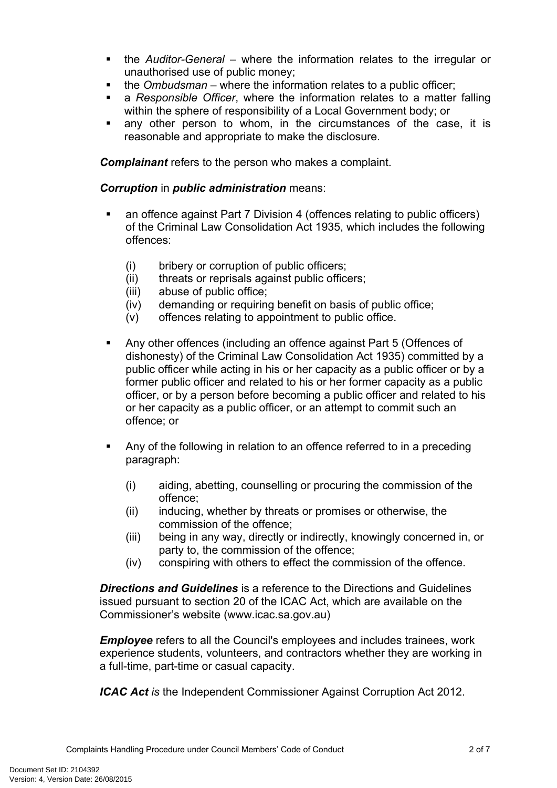- the *Auditor-General* where the information relates to the irregular or unauthorised use of public money;
- the *Ombudsman* where the information relates to a public officer;
- a *Responsible Officer*, where the information relates to a matter falling within the sphere of responsibility of a Local Government body; or
- any other person to whom, in the circumstances of the case, it is reasonable and appropriate to make the disclosure.

*Complainant* refers to the person who makes a complaint.

#### *Corruption* in *public administration* means:

- an offence against Part 7 Division 4 (offences relating to public officers) of the Criminal Law Consolidation Act 1935, which includes the following offences:
	- (i) bribery or corruption of public officers;
	- (ii) threats or reprisals against public officers;
	- (iii) abuse of public office;
	- (iv) demanding or requiring benefit on basis of public office;
	- (v) offences relating to appointment to public office.
- Any other offences (including an offence against Part 5 (Offences of dishonesty) of the Criminal Law Consolidation Act 1935) committed by a public officer while acting in his or her capacity as a public officer or by a former public officer and related to his or her former capacity as a public officer, or by a person before becoming a public officer and related to his or her capacity as a public officer, or an attempt to commit such an offence; or
- Any of the following in relation to an offence referred to in a preceding paragraph:
	- (i) aiding, abetting, counselling or procuring the commission of the offence;
	- (ii) inducing, whether by threats or promises or otherwise, the commission of the offence;
	- (iii) being in any way, directly or indirectly, knowingly concerned in, or party to, the commission of the offence;
	- (iv) conspiring with others to effect the commission of the offence.

*Directions and Guidelines* is a reference to the Directions and Guidelines issued pursuant to section 20 of the ICAC Act, which are available on the Commissioner's website (www.icac.sa.gov.au)

*Employee* refers to all the Council's employees and includes trainees, work experience students, volunteers, and contractors whether they are working in a full-time, part-time or casual capacity.

*ICAC Act is* the Independent Commissioner Against Corruption Act 2012.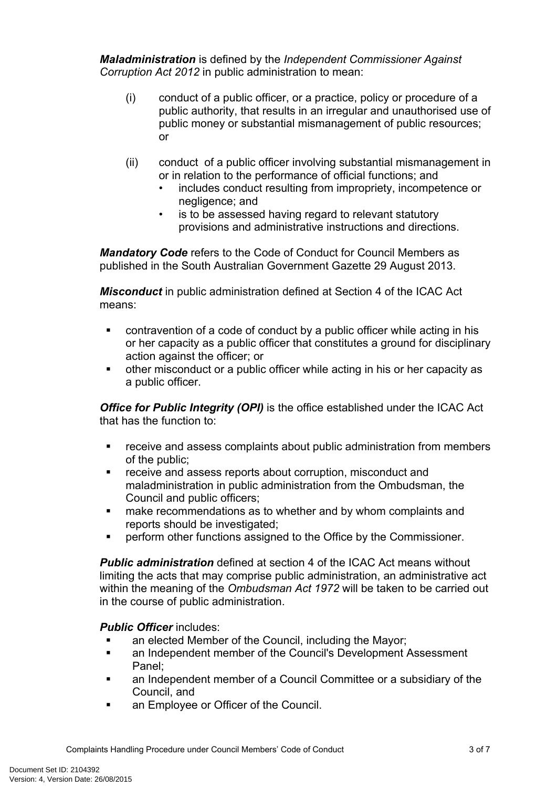*Maladministration* is defined by the *Independent Commissioner Against Corruption Act 2012* in public administration to mean:

- (i) conduct of a public officer, or a practice, policy or procedure of a public authority, that results in an irregular and unauthorised use of public money or substantial mismanagement of public resources; or
- (ii) conduct of a public officer involving substantial mismanagement in or in relation to the performance of official functions; and
	- includes conduct resulting from impropriety, incompetence or negligence; and
	- is to be assessed having regard to relevant statutory provisions and administrative instructions and directions.

*Mandatory Code* refers to the Code of Conduct for Council Members as published in the South Australian Government Gazette 29 August 2013.

*Misconduct* in public administration defined at Section 4 of the ICAC Act means:

- contravention of a code of conduct by a public officer while acting in his or her capacity as a public officer that constitutes a ground for disciplinary action against the officer; or
- other misconduct or a public officer while acting in his or her capacity as a public officer.

*Office for Public Integrity (OPI)* is the office established under the ICAC Act that has the function to:

- receive and assess complaints about public administration from members of the public;
- **F** receive and assess reports about corruption, misconduct and maladministration in public administration from the Ombudsman, the Council and public officers;
- make recommendations as to whether and by whom complaints and reports should be investigated;
- perform other functions assigned to the Office by the Commissioner.

*Public administration* defined at section 4 of the ICAC Act means without limiting the acts that may comprise public administration, an administrative act within the meaning of the *Ombudsman Act 1972* will be taken to be carried out in the course of public administration.

# *Public Officer* includes:

- an elected Member of the Council, including the Mayor;
- **EXECT** an Independent member of the Council's Development Assessment Panel;
- an Independent member of a Council Committee or a subsidiary of the Council, and
- **an Employee or Officer of the Council.**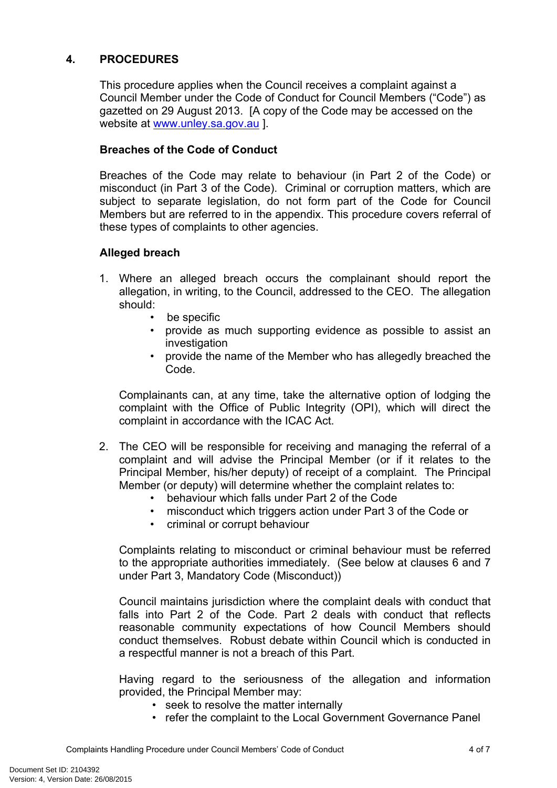# **4. PROCEDURES**

This procedure applies when the Council receives a complaint against a Council Member under the Code of Conduct for Council Members ("Code") as gazetted on 29 August 2013. [A copy of the Code may be accessed on the website at [www.unley.sa.gov.au](http://www.unley.sa.gov.au/) ].

## **Breaches of the Code of Conduct**

Breaches of the Code may relate to behaviour (in Part 2 of the Code) or misconduct (in Part 3 of the Code). Criminal or corruption matters, which are subject to separate legislation, do not form part of the Code for Council Members but are referred to in the appendix. This procedure covers referral of these types of complaints to other agencies.

#### **Alleged breach**

- 1. Where an alleged breach occurs the complainant should report the allegation, in writing, to the Council, addressed to the CEO. The allegation should:
	- be specific
	- provide as much supporting evidence as possible to assist an investigation
	- provide the name of the Member who has allegedly breached the Code.

Complainants can, at any time, take the alternative option of lodging the complaint with the Office of Public Integrity (OPI), which will direct the complaint in accordance with the ICAC Act.

- 2. The CEO will be responsible for receiving and managing the referral of a complaint and will advise the Principal Member (or if it relates to the Principal Member, his/her deputy) of receipt of a complaint. The Principal Member (or deputy) will determine whether the complaint relates to:
	- behaviour which falls under Part 2 of the Code
	- misconduct which triggers action under Part 3 of the Code or
	- criminal or corrupt behaviour

Complaints relating to misconduct or criminal behaviour must be referred to the appropriate authorities immediately. (See below at clauses 6 and 7 under Part 3, Mandatory Code (Misconduct))

Council maintains jurisdiction where the complaint deals with conduct that falls into Part 2 of the Code. Part 2 deals with conduct that reflects reasonable community expectations of how Council Members should conduct themselves. Robust debate within Council which is conducted in a respectful manner is not a breach of this Part.

Having regard to the seriousness of the allegation and information provided, the Principal Member may:

- seek to resolve the matter internally
- refer the complaint to the Local Government Governance Panel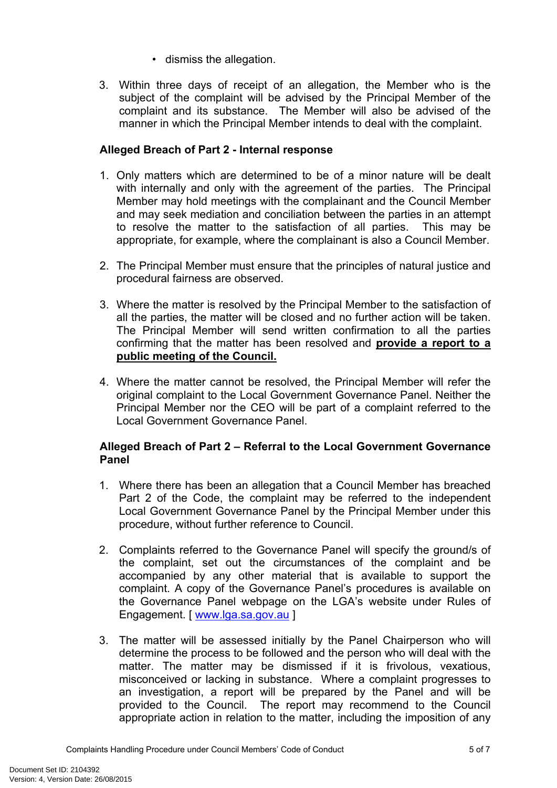- dismiss the allegation.
- 3. Within three days of receipt of an allegation, the Member who is the subject of the complaint will be advised by the Principal Member of the complaint and its substance. The Member will also be advised of the manner in which the Principal Member intends to deal with the complaint.

## **Alleged Breach of Part 2 - Internal response**

- 1. Only matters which are determined to be of a minor nature will be dealt with internally and only with the agreement of the parties. The Principal Member may hold meetings with the complainant and the Council Member and may seek mediation and conciliation between the parties in an attempt to resolve the matter to the satisfaction of all parties. This may be appropriate, for example, where the complainant is also a Council Member.
- 2. The Principal Member must ensure that the principles of natural justice and procedural fairness are observed.
- 3. Where the matter is resolved by the Principal Member to the satisfaction of all the parties, the matter will be closed and no further action will be taken. The Principal Member will send written confirmation to all the parties confirming that the matter has been resolved and **provide a report to a public meeting of the Council.**
- 4. Where the matter cannot be resolved, the Principal Member will refer the original complaint to the Local Government Governance Panel. Neither the Principal Member nor the CEO will be part of a complaint referred to the Local Government Governance Panel.

## **Alleged Breach of Part 2 – Referral to the Local Government Governance Panel**

- 1. Where there has been an allegation that a Council Member has breached Part 2 of the Code, the complaint may be referred to the independent Local Government Governance Panel by the Principal Member under this procedure, without further reference to Council.
- 2. Complaints referred to the Governance Panel will specify the ground/s of the complaint, set out the circumstances of the complaint and be accompanied by any other material that is available to support the complaint. A copy of the Governance Panel's procedures is available on the Governance Panel webpage on the LGA's website under Rules of Engagement. [ [www.lga.sa.gov.au](http://www.lga.sa.gov.au/) ]
- 3. The matter will be assessed initially by the Panel Chairperson who will determine the process to be followed and the person who will deal with the matter. The matter may be dismissed if it is frivolous, vexatious, misconceived or lacking in substance. Where a complaint progresses to an investigation, a report will be prepared by the Panel and will be provided to the Council. The report may recommend to the Council appropriate action in relation to the matter, including the imposition of any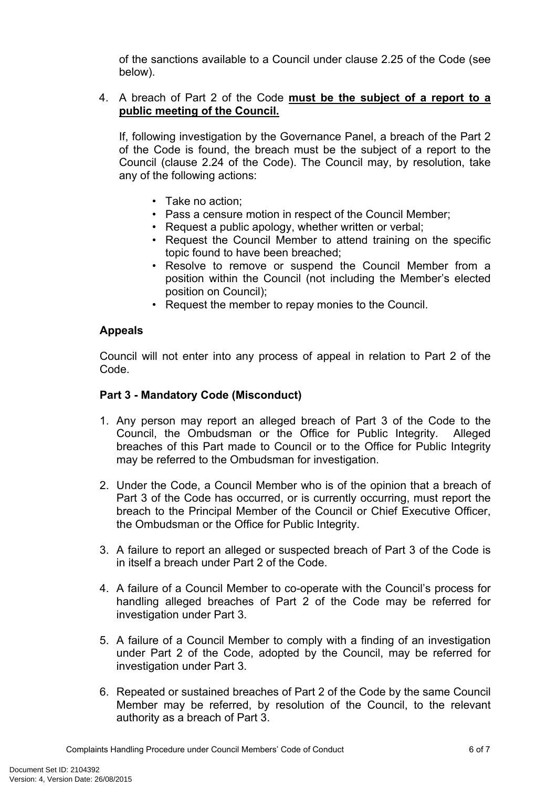of the sanctions available to a Council under clause 2.25 of the Code (see below).

## 4. A breach of Part 2 of the Code **must be the subject of a report to a public meeting of the Council.**

If, following investigation by the Governance Panel, a breach of the Part 2 of the Code is found, the breach must be the subject of a report to the Council (clause 2.24 of the Code). The Council may, by resolution, take any of the following actions:

- Take no action;
- Pass a censure motion in respect of the Council Member;
- Request a public apology, whether written or verbal;
- Request the Council Member to attend training on the specific topic found to have been breached;
- Resolve to remove or suspend the Council Member from a position within the Council (not including the Member's elected position on Council);
- Request the member to repay monies to the Council.

## **Appeals**

Council will not enter into any process of appeal in relation to Part 2 of the Code.

## **Part 3 - Mandatory Code (Misconduct)**

- 1. Any person may report an alleged breach of Part 3 of the Code to the Council, the Ombudsman or the Office for Public Integrity. Alleged breaches of this Part made to Council or to the Office for Public Integrity may be referred to the Ombudsman for investigation.
- 2. Under the Code, a Council Member who is of the opinion that a breach of Part 3 of the Code has occurred, or is currently occurring, must report the breach to the Principal Member of the Council or Chief Executive Officer, the Ombudsman or the Office for Public Integrity.
- 3. A failure to report an alleged or suspected breach of Part 3 of the Code is in itself a breach under Part 2 of the Code.
- 4. A failure of a Council Member to co-operate with the Council's process for handling alleged breaches of Part 2 of the Code may be referred for investigation under Part 3.
- 5. A failure of a Council Member to comply with a finding of an investigation under Part 2 of the Code, adopted by the Council, may be referred for investigation under Part 3.
- 6. Repeated or sustained breaches of Part 2 of the Code by the same Council Member may be referred, by resolution of the Council, to the relevant authority as a breach of Part 3.